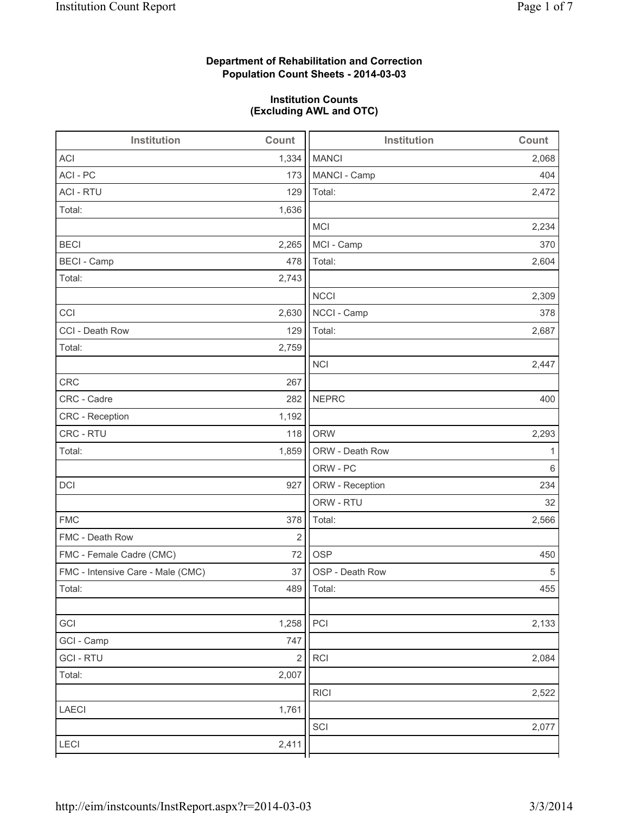## **Department of Rehabilitation and Correction Population Count Sheets - 2014-03-03**

### **Institution Counts (Excluding AWL and OTC)**

| Institution                       | Count      | Institution     | Count |
|-----------------------------------|------------|-----------------|-------|
| <b>ACI</b>                        | 1,334      | <b>MANCI</b>    | 2,068 |
| ACI - PC                          | 173        | MANCI - Camp    | 404   |
| <b>ACI - RTU</b>                  | 129        | Total:          | 2,472 |
| Total:                            | 1,636      |                 |       |
|                                   |            | MCI             | 2,234 |
| <b>BECI</b>                       | 2,265      | MCI - Camp      | 370   |
| <b>BECI - Camp</b>                | 478        | Total:          | 2,604 |
| Total:                            | 2,743      |                 |       |
|                                   |            | <b>NCCI</b>     | 2,309 |
| CCI                               | 2,630      | NCCI - Camp     | 378   |
| CCI - Death Row                   | 129        | Total:          | 2,687 |
| Total:                            | 2,759      |                 |       |
|                                   |            | <b>NCI</b>      | 2,447 |
| <b>CRC</b>                        | 267        |                 |       |
| CRC - Cadre                       | 282        | <b>NEPRC</b>    | 400   |
| CRC - Reception                   | 1,192      |                 |       |
| CRC - RTU                         | 118        | <b>ORW</b>      | 2,293 |
| Total:                            | 1,859      | ORW - Death Row | 1     |
|                                   |            | ORW - PC        | 6     |
| DCI                               | 927        | ORW - Reception | 234   |
|                                   |            | ORW - RTU       | 32    |
| <b>FMC</b>                        | 378        | Total:          | 2,566 |
| FMC - Death Row                   | $\sqrt{2}$ |                 |       |
| FMC - Female Cadre (CMC)          | 72         | <b>OSP</b>      | 450   |
| FMC - Intensive Care - Male (CMC) | 37         | OSP - Death Row | 5     |
| Total:                            | 489        | Total:          | 455   |
|                                   |            |                 |       |
| GCI                               | 1,258      | PCI             | 2,133 |
| GCI - Camp                        | 747        |                 |       |
| <b>GCI-RTU</b>                    | $\sqrt{2}$ | RCI             | 2,084 |
| Total:                            | 2,007      |                 |       |
|                                   |            | <b>RICI</b>     | 2,522 |
| LAECI                             | 1,761      |                 |       |
|                                   |            | SCI             | 2,077 |
| LECI                              | 2,411      |                 |       |
|                                   |            |                 |       |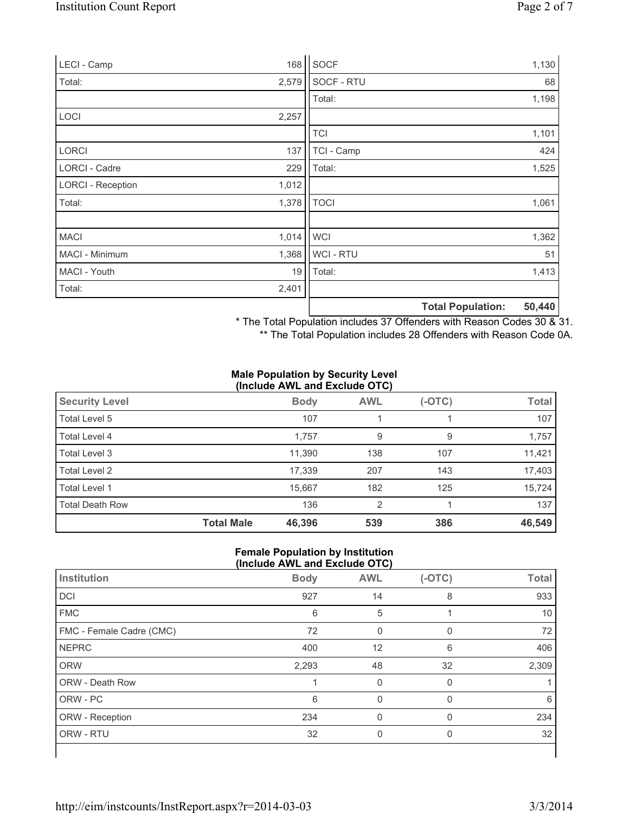| LECI - Camp              | 168   | SOCF        |                          | 1,130  |
|--------------------------|-------|-------------|--------------------------|--------|
| Total:                   | 2,579 | SOCF - RTU  |                          | 68     |
|                          |       | Total:      |                          | 1,198  |
| <b>LOCI</b>              | 2,257 |             |                          |        |
|                          |       | <b>TCI</b>  |                          | 1,101  |
| <b>LORCI</b>             | 137   | TCI - Camp  |                          | 424    |
| LORCI - Cadre            | 229   | Total:      |                          | 1,525  |
| <b>LORCI - Reception</b> | 1,012 |             |                          |        |
| Total:                   | 1,378 | <b>TOCI</b> |                          | 1,061  |
|                          |       |             |                          |        |
| <b>MACI</b>              | 1,014 | <b>WCI</b>  |                          | 1,362  |
| MACI - Minimum           | 1,368 | WCI - RTU   |                          | 51     |
| MACI - Youth             | 19    | Total:      |                          | 1,413  |
| Total:                   | 2,401 |             |                          |        |
|                          |       |             | <b>Total Population:</b> | 50,440 |

\* The Total Population includes 37 Offenders with Reason Codes 30 & 31.

\*\* The Total Population includes 28 Offenders with Reason Code 0A.

#### **Male Population by Security Level (Include AWL and Exclude OTC)**

|                        |                   |             | $-200$     |        |              |
|------------------------|-------------------|-------------|------------|--------|--------------|
| <b>Security Level</b>  |                   | <b>Body</b> | <b>AWL</b> | (-OTC) | <b>Total</b> |
| Total Level 5          |                   | 107         |            |        | 107          |
| Total Level 4          |                   | 1,757       | 9          | 9      | 1,757        |
| Total Level 3          |                   | 11,390      | 138        | 107    | 11,421       |
| Total Level 2          |                   | 17,339      | 207        | 143    | 17,403       |
| Total Level 1          |                   | 15,667      | 182        | 125    | 15,724       |
| <b>Total Death Row</b> |                   | 136         | 2          |        | 137          |
|                        | <b>Total Male</b> | 46,396      | 539        | 386    | 46,549       |

### **Female Population by Institution (Include AWL and Exclude OTC)**

| Institution              | <b>Body</b> | <b>AWL</b> | $(-OTC)$ | <b>Total</b> |
|--------------------------|-------------|------------|----------|--------------|
| <b>DCI</b>               | 927         | 14         | 8        | 933          |
| <b>FMC</b>               | 6           | 5          |          | 10           |
| FMC - Female Cadre (CMC) | 72          | 0          | 0        | 72           |
| <b>NEPRC</b>             | 400         | 12         | 6        | 406          |
| <b>ORW</b>               | 2,293       | 48         | 32       | 2,309        |
| <b>ORW - Death Row</b>   |             | 0          | $\Omega$ |              |
| ORW - PC                 | 6           | $\Omega$   | $\Omega$ | 6            |
| ORW - Reception          | 234         | O          |          | 234          |
| ORW - RTU                | 32          | 0          | 0        | 32           |
|                          |             |            |          |              |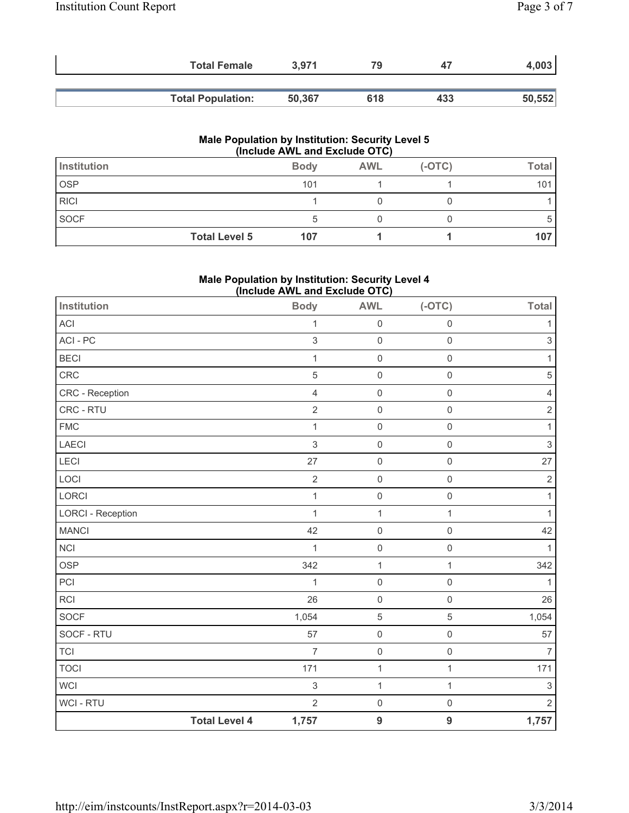| <b>Total Female</b>      | 3.971  | 79  | 47  | 4,003  |
|--------------------------|--------|-----|-----|--------|
|                          |        |     |     |        |
| <b>Total Population:</b> | 50,367 | 618 | 433 | 50,552 |

### **Male Population by Institution: Security Level 5 (Include AWL and Exclude OTC)**

| Institution |                      | <b>Body</b> | <b>AWL</b> | $(-OTC)$ | Total |
|-------------|----------------------|-------------|------------|----------|-------|
| OSP         |                      | 101         |            |          | 101   |
| <b>RICI</b> |                      |             |            |          |       |
| <b>SOCF</b> |                      | b           |            |          |       |
|             | <b>Total Level 5</b> | 107         |            |          | 107   |

## **Male Population by Institution: Security Level 4 (Include AWL and Exclude OTC)**

| Institution              | <u><u></u></u>       | <b>Body</b>    | <u><math>\frac{1}{2}</math> = <math>\frac{1}{2}</math></u><br><b>AWL</b> | $(-OTC)$            | <b>Total</b>              |
|--------------------------|----------------------|----------------|--------------------------------------------------------------------------|---------------------|---------------------------|
| ACI                      |                      | $\mathbf{1}$   | $\mathsf 0$                                                              | $\mathbf 0$         | 1                         |
| ACI-PC                   |                      | $\mathfrak{B}$ | $\mathsf{O}\xspace$                                                      | $\mathsf{O}\xspace$ | $\ensuremath{\mathsf{3}}$ |
| <b>BECI</b>              |                      | 1              | $\mathsf{O}\xspace$                                                      | $\mathsf{O}\xspace$ | $\mathbf{1}$              |
| CRC                      |                      | 5              | $\mathsf{O}\xspace$                                                      | $\mathsf{O}\xspace$ | $\sqrt{5}$                |
| CRC - Reception          |                      | 4              | $\mathsf 0$                                                              | $\mathsf{O}\xspace$ | $\overline{4}$            |
| CRC - RTU                |                      | $\overline{2}$ | $\mathsf{O}\xspace$                                                      | $\mathsf{O}\xspace$ | $\sqrt{2}$                |
| <b>FMC</b>               |                      | $\mathbf{1}$   | $\mathsf 0$                                                              | $\mathbf 0$         | 1                         |
| LAECI                    |                      | 3              | $\mathsf 0$                                                              | $\mathbf 0$         | $\ensuremath{\mathsf{3}}$ |
| LECI                     |                      | 27             | $\mathsf 0$                                                              | $\mathbf 0$         | 27                        |
| LOCI                     |                      | $\overline{2}$ | $\mathsf{O}\xspace$                                                      | $\mathsf{O}\xspace$ | $\sqrt{2}$                |
| LORCI                    |                      | $\mathbf{1}$   | $\mathsf{O}\xspace$                                                      | $\mathsf{O}\xspace$ | 1                         |
| <b>LORCI - Reception</b> |                      | $\mathbf 1$    | $\mathbf 1$                                                              | $\mathbf{1}$        | 1                         |
| <b>MANCI</b>             |                      | 42             | $\mathsf{O}\xspace$                                                      | $\mathsf{O}\xspace$ | 42                        |
| $\sf NCI$                |                      | 1              | $\mathsf{O}\xspace$                                                      | $\mathbf 0$         | 1                         |
| <b>OSP</b>               |                      | 342            | $\mathbf{1}$                                                             | $\mathbf{1}$        | 342                       |
| PCI                      |                      | 1              | $\mathsf{O}\xspace$                                                      | $\mathsf{O}\xspace$ | 1                         |
| <b>RCI</b>               |                      | 26             | $\mathsf{O}\xspace$                                                      | $\mathsf{O}\xspace$ | 26                        |
| SOCF                     |                      | 1,054          | 5                                                                        | $\overline{5}$      | 1,054                     |
| SOCF - RTU               |                      | 57             | $\mathsf{O}\xspace$                                                      | $\mathsf{O}\xspace$ | 57                        |
| <b>TCI</b>               |                      | 7              | $\mathsf{O}\xspace$                                                      | $\mathsf{O}\xspace$ | $\overline{7}$            |
| <b>TOCI</b>              |                      | 171            | $\mathbf 1$                                                              | $\mathbf{1}$        | 171                       |
| <b>WCI</b>               |                      | 3              | $\mathbf 1$                                                              | $\mathbf{1}$        | $\sqrt{3}$                |
| WCI - RTU                |                      | $\overline{2}$ | $\mathsf{O}\xspace$                                                      | $\mathsf{O}\xspace$ | $\overline{2}$            |
|                          | <b>Total Level 4</b> | 1,757          | $\boldsymbol{9}$                                                         | $\overline{9}$      | 1,757                     |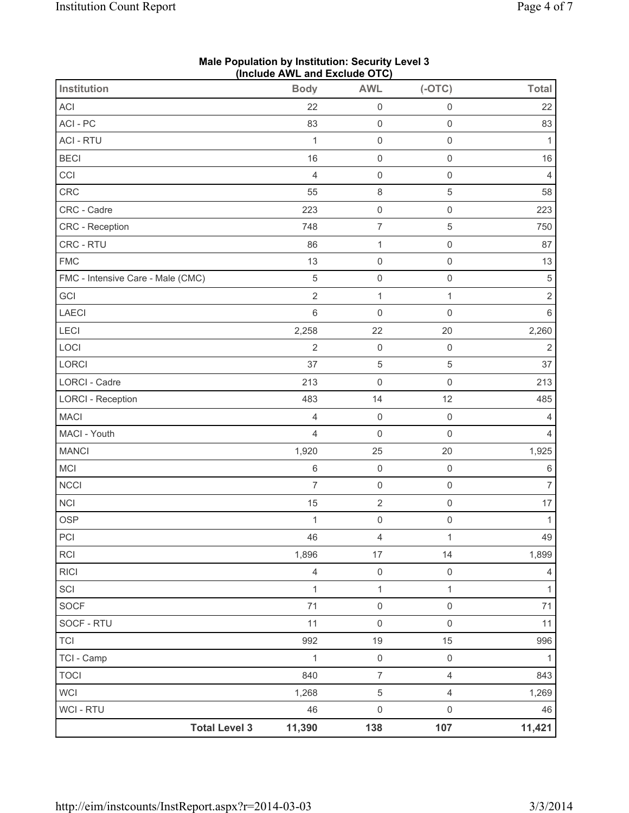|                                   | $(III)$ and $I = 2$ and $II = 2$ and $II = 2$ |                          |                     |                |
|-----------------------------------|-----------------------------------------------|--------------------------|---------------------|----------------|
| <b>Institution</b>                | <b>Body</b>                                   | <b>AWL</b>               | $(-OTC)$            | <b>Total</b>   |
| ACI                               | 22                                            | $\mathsf{O}\xspace$      | $\mathsf{O}\xspace$ | 22             |
| ACI - PC                          | 83                                            | $\mathsf 0$              | $\mathsf{O}\xspace$ | 83             |
| <b>ACI - RTU</b>                  | 1                                             | $\mathsf 0$              | $\mathsf{O}\xspace$ | $\mathbf{1}$   |
| <b>BECI</b>                       | 16                                            | $\mathsf 0$              | $\mathsf{O}\xspace$ | $16\,$         |
| CCI                               | $\overline{4}$                                | $\mathsf{O}\xspace$      | $\mathsf{O}\xspace$ | $\overline{4}$ |
| CRC                               | 55                                            | $\,8\,$                  | $\sqrt{5}$          | 58             |
| CRC - Cadre                       | 223                                           | $\mathsf 0$              | $\mathsf{O}\xspace$ | 223            |
| CRC - Reception                   | 748                                           | $\overline{\mathcal{I}}$ | $\sqrt{5}$          | 750            |
| CRC - RTU                         | 86                                            | $\mathbf{1}$             | $\mathsf{O}\xspace$ | 87             |
| <b>FMC</b>                        | 13                                            | $\mathsf{O}\xspace$      | $\mathsf{O}\xspace$ | 13             |
| FMC - Intensive Care - Male (CMC) | 5                                             | $\mathsf{O}\xspace$      | $\mathsf 0$         | $\,$ 5 $\,$    |
| GCI                               | $\sqrt{2}$                                    | $\mathbf 1$              | $\mathbf{1}$        | $\mathbf 2$    |
| LAECI                             | 6                                             | $\mathsf 0$              | $\mathsf{O}\xspace$ | $\,6\,$        |
| LECI                              | 2,258                                         | 22                       | 20                  | 2,260          |
| LOCI                              | $\overline{2}$                                | $\mathsf{O}\xspace$      | $\mathsf{O}\xspace$ | $\overline{2}$ |
| LORCI                             | 37                                            | $\,$ 5 $\,$              | $\sqrt{5}$          | 37             |
| LORCI - Cadre                     | 213                                           | $\mathsf 0$              | $\mathsf{O}\xspace$ | 213            |
| <b>LORCI - Reception</b>          | 483                                           | 14                       | 12                  | 485            |
| <b>MACI</b>                       | 4                                             | $\mathbf 0$              | $\mathsf 0$         | 4              |
| MACI - Youth                      | 4                                             | $\mathsf 0$              | $\mathsf{O}\xspace$ | 4              |
| <b>MANCI</b>                      | 1,920                                         | 25                       | $20\,$              | 1,925          |
| MCI                               | $\,6\,$                                       | $\mathsf 0$              | $\mathsf 0$         | $\,6\,$        |
| <b>NCCI</b>                       | $\overline{7}$                                | $\mathsf{O}\xspace$      | $\mathsf{O}\xspace$ | $\overline{7}$ |
| NCI                               | 15                                            | $\sqrt{2}$               | $\mathsf 0$         | 17             |
| <b>OSP</b>                        | $\mathbf 1$                                   | $\mathsf{O}\xspace$      | $\mathsf{O}\xspace$ | $\mathbf{1}$   |
| PCI                               | 46                                            | 4                        | 1                   | 49             |
| RCI                               | 1,896                                         | 17                       | 14                  | 1,899          |
| <b>RICI</b>                       | $\overline{4}$                                | $\mathsf 0$              | $\mathsf 0$         | $\overline{4}$ |
| SCI                               | $\mathbf 1$                                   | $\mathbf{1}$             | $\mathbf{1}$        | $\mathbf{1}$   |
| SOCF                              | 71                                            | $\mathsf 0$              | $\mathsf{O}\xspace$ | 71             |
| SOCF - RTU                        | 11                                            | $\mathsf 0$              | $\mathsf{O}\xspace$ | 11             |
| <b>TCI</b>                        | 992                                           | 19                       | 15                  | 996            |
| TCI - Camp                        | $\mathbf{1}$                                  | $\mathsf{O}\xspace$      | $\mathsf 0$         | $\mathbf{1}$   |
| <b>TOCI</b>                       | 840                                           | $\boldsymbol{7}$         | $\overline{4}$      | 843            |
| WCI                               | 1,268                                         | $\,$ 5 $\,$              | $\overline{4}$      | 1,269          |
| WCI - RTU                         | 46                                            | $\mathsf 0$              | $\mathsf{O}\xspace$ | 46             |
| <b>Total Level 3</b>              | 11,390                                        | 138                      | 107                 | 11,421         |

#### **Male Population by Institution: Security Level 3 (Include AWL and Exclude OTC)**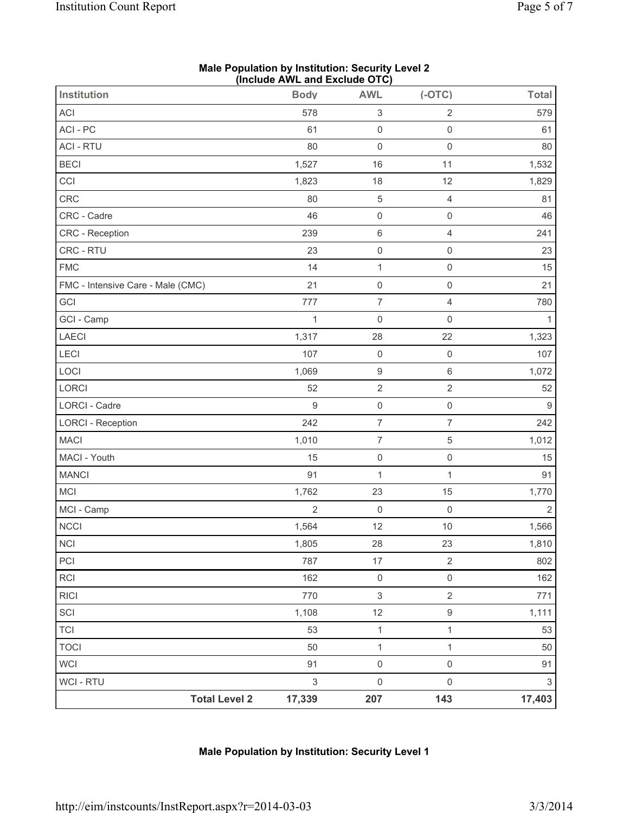| Institution                       | <b>INDIANAL ANTE AND EXPIGAS</b><br><b>Body</b> | <u>,,,</u><br><b>AWL</b>  | $(-OTC)$            | <b>Total</b>              |
|-----------------------------------|-------------------------------------------------|---------------------------|---------------------|---------------------------|
| ACI                               | 578                                             | 3                         | $\sqrt{2}$          | 579                       |
| ACI - PC                          | 61                                              | $\mathbf 0$               | $\mathbf 0$         | 61                        |
| <b>ACI - RTU</b>                  | 80                                              | $\mathsf{O}\xspace$       | $\mathsf{O}\xspace$ | 80                        |
| <b>BECI</b>                       | 1,527                                           | 16                        | 11                  | 1,532                     |
| CCI                               | 1,823                                           | 18                        | 12                  | 1,829                     |
| CRC                               | 80                                              | $\,$ 5 $\,$               | $\overline{4}$      | 81                        |
| CRC - Cadre                       | 46                                              | $\mathsf 0$               | $\mathsf 0$         | 46                        |
| CRC - Reception                   | 239                                             | $\,6\,$                   | $\overline{4}$      | 241                       |
| CRC - RTU                         | 23                                              | $\mathsf{O}\xspace$       | $\mathsf 0$         | 23                        |
| <b>FMC</b>                        | 14                                              | $\mathbf{1}$              | $\mathbf 0$         | 15                        |
| FMC - Intensive Care - Male (CMC) | 21                                              | $\mathsf 0$               | $\mathbf 0$         | 21                        |
| GCI                               | 777                                             | $\overline{7}$            | $\overline{4}$      | 780                       |
| GCI - Camp                        | $\mathbf 1$                                     | $\mathsf{O}\xspace$       | $\mathbf 0$         | 1                         |
| LAECI                             | 1,317                                           | 28                        | 22                  | 1,323                     |
| LECI                              | 107                                             | $\mathsf 0$               | $\mathbf 0$         | 107                       |
| LOCI                              | 1,069                                           | $\boldsymbol{9}$          | $\,6$               | 1,072                     |
| LORCI                             | 52                                              | $\sqrt{2}$                | $\sqrt{2}$          | 52                        |
| LORCI - Cadre                     | $\mathsf g$                                     | $\mathsf{O}\xspace$       | $\mathsf{O}\xspace$ | 9                         |
| <b>LORCI - Reception</b>          | 242                                             | $\boldsymbol{7}$          | $\overline{7}$      | 242                       |
| <b>MACI</b>                       | 1,010                                           | $\overline{7}$            | $\sqrt{5}$          | 1,012                     |
| MACI - Youth                      | 15                                              | $\mathsf{O}\xspace$       | $\mathsf 0$         | 15                        |
| <b>MANCI</b>                      | 91                                              | 1                         | $\mathbf{1}$        | 91                        |
| MCI                               | 1,762                                           | 23                        | 15                  | 1,770                     |
| MCI - Camp                        | $\sqrt{2}$                                      | $\mathbf 0$               | $\mathsf{O}\xspace$ | $\overline{2}$            |
| NCCI                              | 1,564                                           | 12                        | 10                  | 1,566                     |
| NCI                               | 1,805                                           | 28                        | 23                  | 1,810                     |
| PCI                               | 787                                             | 17                        | $\overline{2}$      | 802                       |
| <b>RCI</b>                        | 162                                             | $\mathsf{O}\xspace$       | $\mathsf 0$         | 162                       |
| <b>RICI</b>                       | 770                                             | $\ensuremath{\mathsf{3}}$ | $\overline{2}$      | 771                       |
| SCI                               | 1,108                                           | 12                        | $\mathsf g$         | 1,111                     |
| <b>TCI</b>                        | 53                                              | $\mathbf{1}$              | $\mathbf{1}$        | 53                        |
| <b>TOCI</b>                       | 50                                              | $\mathbf 1$               | $\mathbf{1}$        | 50                        |
| WCI                               | 91                                              | $\mathsf 0$               | $\mathsf 0$         | 91                        |
| WCI - RTU                         | $\ensuremath{\mathsf{3}}$                       | $\mathsf{O}\xspace$       | $\mathsf{O}\xspace$ | $\ensuremath{\mathsf{3}}$ |
| <b>Total Level 2</b>              | 17,339                                          | 207                       | 143                 | 17,403                    |

## **Male Population by Institution: Security Level 2 (Include AWL and Exclude OTC)**

## **Male Population by Institution: Security Level 1**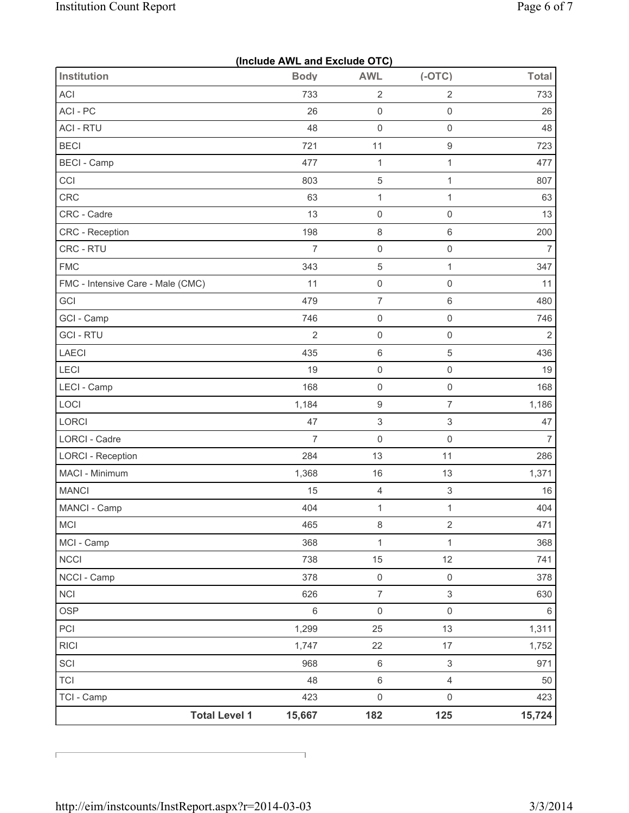|                                   | (Include AWL and Exclude OTC) |                     |                     |                |
|-----------------------------------|-------------------------------|---------------------|---------------------|----------------|
| <b>Institution</b>                | <b>Body</b>                   | <b>AWL</b>          | $(-OTC)$            | <b>Total</b>   |
| ACI                               | 733                           | $\sqrt{2}$          | $\overline{2}$      | 733            |
| ACI-PC                            | 26                            | $\mathsf{O}\xspace$ | $\mathsf 0$         | 26             |
| <b>ACI - RTU</b>                  | 48                            | $\mathsf{O}\xspace$ | $\mathsf 0$         | 48             |
| <b>BECI</b>                       | 721                           | 11                  | $\boldsymbol{9}$    | 723            |
| <b>BECI - Camp</b>                | 477                           | $\mathbf{1}$        | $\mathbf{1}$        | 477            |
| CCI                               | 803                           | 5                   | $\mathbf{1}$        | 807            |
| CRC                               | 63                            | $\mathbf{1}$        | $\mathbf{1}$        | 63             |
| CRC - Cadre                       | 13                            | $\mathsf 0$         | $\mathsf 0$         | 13             |
| CRC - Reception                   | 198                           | $\,8\,$             | $\,6$               | 200            |
| CRC - RTU                         | $\overline{7}$                | $\mathsf 0$         | $\mathsf 0$         | $\overline{7}$ |
| <b>FMC</b>                        | 343                           | 5                   | $\mathbf{1}$        | 347            |
| FMC - Intensive Care - Male (CMC) | 11                            | $\mathsf 0$         | $\mathsf 0$         | 11             |
| GCI                               | 479                           | $\overline{7}$      | $\,6$               | 480            |
| GCI - Camp                        | 746                           | $\mathsf 0$         | $\mathsf 0$         | 746            |
| <b>GCI - RTU</b>                  | $\overline{2}$                | $\mathsf{O}\xspace$ | $\mathsf{O}\xspace$ | $\overline{2}$ |
| <b>LAECI</b>                      | 435                           | $\,6\,$             | 5                   | 436            |
| LECI                              | 19                            | $\mathsf 0$         | $\mathsf 0$         | 19             |
| LECI - Camp                       | 168                           | $\mathsf{O}\xspace$ | $\mathsf 0$         | 168            |
| LOCI                              | 1,184                         | $\boldsymbol{9}$    | $\overline{7}$      | 1,186          |
| LORCI                             | 47                            | 3                   | $\,$ 3 $\,$         | 47             |
| LORCI - Cadre                     | $\overline{7}$                | $\mathsf 0$         | $\mathsf 0$         | $\overline{7}$ |
| <b>LORCI - Reception</b>          | 284                           | 13                  | 11                  | 286            |
| MACI - Minimum                    | 1,368                         | 16                  | 13                  | 1,371          |
| <b>MANCI</b>                      | 15                            | $\overline{4}$      | $\,$ 3 $\,$         | 16             |
| MANCI - Camp                      | 404                           | $\mathbf{1}$        | $\mathbf{1}$        | 404            |
| MCI                               | 465                           | $\,8\,$             | $\overline{2}$      | 471            |
| MCI - Camp                        | 368                           | $\mathbf{1}$        | $\mathbf{1}$        | 368            |
| <b>NCCI</b>                       | 738                           | 15                  | 12                  | 741            |
| NCCI - Camp                       | 378                           | $\mathsf 0$         | $\mathsf{O}\xspace$ | 378            |
| <b>NCI</b>                        | 626                           | $\boldsymbol{7}$    | 3                   | 630            |
| <b>OSP</b>                        | 6                             | $\mathsf{O}\xspace$ | $\mathsf{O}\xspace$ | 6              |
| PCI                               | 1,299                         | 25                  | 13                  | 1,311          |
| <b>RICI</b>                       | 1,747                         | 22                  | 17                  | 1,752          |
| SCI                               | 968                           | $\,6\,$             | $\,$ 3 $\,$         | 971            |
| <b>TCI</b>                        | 48                            | $\,6\,$             | $\overline{4}$      | 50             |
| TCI - Camp                        | 423                           | $\mathsf{O}\xspace$ | $\mathsf{O}\xspace$ | 423            |
| <b>Total Level 1</b>              | 15,667                        | 182                 | 125                 | 15,724         |

ĭ

 $\overline{\Gamma}$